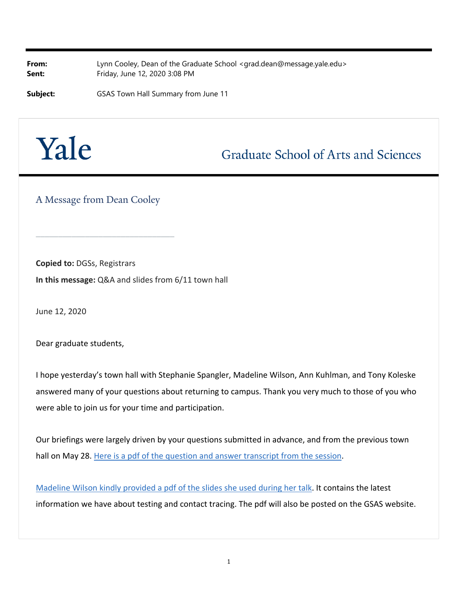**From:** Lynn Cooley, Dean of the Graduate School [<grad.dean@message.yale.edu>](mailto:grad.dean@message.yale.edu) **Sent:** Friday, June 12, 2020 3:08 PM

**Subject:** GSAS Town Hall Summary from June 11

## Yale

## **Graduate School of Arts and Sciences**

A Message from Dean Cooley

**\_\_\_\_\_\_\_\_\_\_\_\_\_\_\_\_\_\_\_\_\_\_\_\_\_\_\_\_\_\_\_**

**Copied to:** DGSs, Registrars **In this message:** Q&A and slides from 6/11 town hall

June 12, 2020

Dear graduate students,

I hope yesterday's town hall with Stephanie Spangler, Madeline Wilson, Ann Kuhlman, and Tony Koleske answered many of your questions about returning to campus. Thank you very much to those of you who were able to join us for your time and participation.

Our briefings were largely driven by your questions submitted in advance, and from the previous town hall on May 28. [Here is a pdf of the question and answer transcript from the session](http://click.message.yale.edu/?qs=334f3318711c3bd71b1b6ddcbce3fca934c95a42759414f7211a86a9ab06ed9273040ae95ca10ef1e5c559697f35571b048cbd0e7bfa787c).

[Madeline Wilson kindly provided a pdf of the slides she used during her talk](http://image.message.yale.edu/lib/fe311570756405787c1278/m/1/076645c1-576a-4211-9867-d990a56a0b04.pdf). It contains the latest information we have about testing and contact tracing. The pdf will also be posted on the GSAS website.